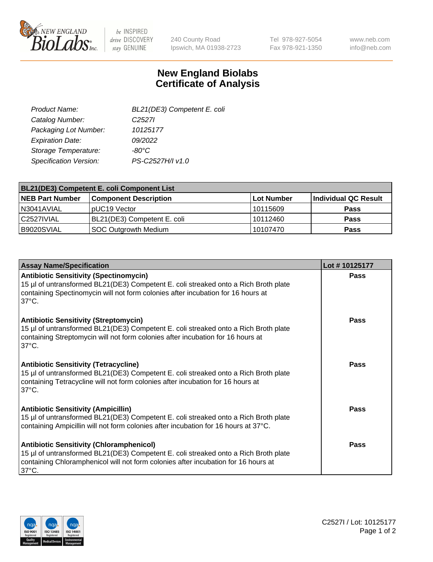

 $be$  INSPIRED drive DISCOVERY stay GENUINE

240 County Road Ipswich, MA 01938-2723 Tel 978-927-5054 Fax 978-921-1350

www.neb.com info@neb.com

## **New England Biolabs Certificate of Analysis**

| BL21(DE3) Competent E. coli |
|-----------------------------|
| C <sub>2527</sub>           |
| 10125177                    |
| 09/2022                     |
| $-80^{\circ}$ C             |
| PS-C2527H/I v1.0            |
|                             |

| <b>BL21(DE3) Competent E. coli Component List</b> |                              |             |                      |  |
|---------------------------------------------------|------------------------------|-------------|----------------------|--|
| <b>NEB Part Number</b>                            | <b>Component Description</b> | ∣Lot Number | Individual QC Result |  |
| N3041AVIAL                                        | pUC19 Vector                 | l 10115609  | <b>Pass</b>          |  |
| l C2527IVIAL                                      | BL21(DE3) Competent E. coli  | 10112460    | <b>Pass</b>          |  |
| B9020SVIAL                                        | SOC Outgrowth Medium         | 10107470    | <b>Pass</b>          |  |

| <b>Assay Name/Specification</b>                                                                                                                                                                                                                 | Lot #10125177 |
|-------------------------------------------------------------------------------------------------------------------------------------------------------------------------------------------------------------------------------------------------|---------------|
| <b>Antibiotic Sensitivity (Spectinomycin)</b><br>15 µl of untransformed BL21(DE3) Competent E. coli streaked onto a Rich Broth plate<br>containing Spectinomycin will not form colonies after incubation for 16 hours at<br>$37^{\circ}$ C.     | <b>Pass</b>   |
| <b>Antibiotic Sensitivity (Streptomycin)</b><br>15 µl of untransformed BL21(DE3) Competent E. coli streaked onto a Rich Broth plate<br>containing Streptomycin will not form colonies after incubation for 16 hours at<br>$37^{\circ}$ C.       | <b>Pass</b>   |
| <b>Antibiotic Sensitivity (Tetracycline)</b><br>15 µl of untransformed BL21(DE3) Competent E. coli streaked onto a Rich Broth plate<br>containing Tetracycline will not form colonies after incubation for 16 hours at<br>$37^{\circ}$ C.       | Pass          |
| <b>Antibiotic Sensitivity (Ampicillin)</b><br>15 µl of untransformed BL21(DE3) Competent E. coli streaked onto a Rich Broth plate<br>containing Ampicillin will not form colonies after incubation for 16 hours at 37°C.                        | Pass          |
| <b>Antibiotic Sensitivity (Chloramphenicol)</b><br>15 µl of untransformed BL21(DE3) Competent E. coli streaked onto a Rich Broth plate<br>containing Chloramphenicol will not form colonies after incubation for 16 hours at<br>$37^{\circ}$ C. | Pass          |